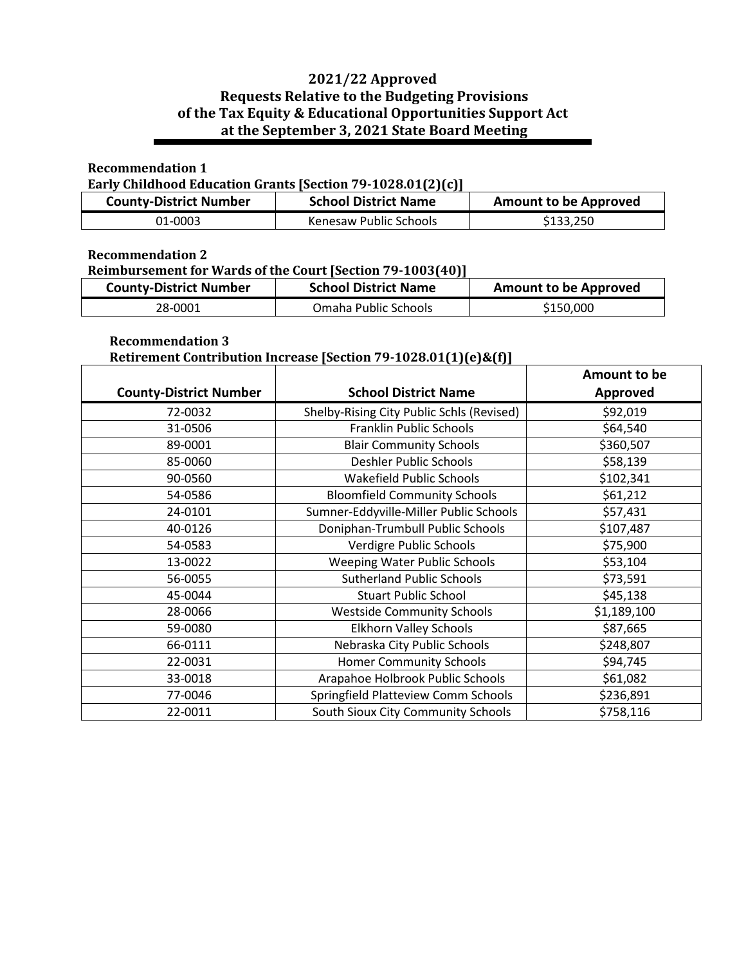# **2021/22 Approved Requests Relative to the Budgeting Provisions of the Tax Equity & Educational Opportunities Support Act at the September 3, 2021 State Board Meeting**

### **Recommendation 1**

## **Early Childhood Education Grants [Section 79-1028.01(2)(c)]**

| <b>County-District Number</b> | <b>School District Name</b> | <b>Amount to be Approved</b> |
|-------------------------------|-----------------------------|------------------------------|
| 01-0003                       | Kenesaw Public Schools      | \$133,250                    |

### **Recommendation 2**

#### **Reimbursement for Wards of the Court [Section 79-1003(40)]**

| <b>County-District Number</b> | <b>School District Name</b> | <b>Amount to be Approved</b> |
|-------------------------------|-----------------------------|------------------------------|
| 28-0001                       | Omaha Public Schools        | \$150,000                    |

## **Recommendation 3**

# **Retirement Contribution Increase [Section 79-1028.01(1)(e)&(f)]**

|                               |                                           | Amount to be    |
|-------------------------------|-------------------------------------------|-----------------|
| <b>County-District Number</b> | <b>School District Name</b>               | <b>Approved</b> |
| 72-0032                       | Shelby-Rising City Public Schls (Revised) | \$92,019        |
| 31-0506                       | Franklin Public Schools                   | \$64,540        |
| 89-0001                       | <b>Blair Community Schools</b>            | \$360,507       |
| 85-0060                       | Deshler Public Schools                    | \$58,139        |
| 90-0560                       | Wakefield Public Schools                  | \$102,341       |
| 54-0586                       | <b>Bloomfield Community Schools</b>       | \$61,212        |
| 24-0101                       | Sumner-Eddyville-Miller Public Schools    | \$57,431        |
| 40-0126                       | Doniphan-Trumbull Public Schools          | \$107,487       |
| 54-0583                       | Verdigre Public Schools                   | \$75,900        |
| 13-0022                       | <b>Weeping Water Public Schools</b>       | \$53,104        |
| 56-0055                       | <b>Sutherland Public Schools</b>          | \$73,591        |
| 45-0044                       | <b>Stuart Public School</b>               | \$45,138        |
| 28-0066                       | <b>Westside Community Schools</b>         | \$1,189,100     |
| 59-0080                       | Elkhorn Valley Schools                    | \$87,665        |
| 66-0111                       | Nebraska City Public Schools              | \$248,807       |
| 22-0031                       | <b>Homer Community Schools</b>            | \$94,745        |
| 33-0018                       | Arapahoe Holbrook Public Schools          | \$61,082        |
| 77-0046                       | Springfield Platteview Comm Schools       | \$236,891       |
| 22-0011                       | South Sioux City Community Schools        | \$758,116       |